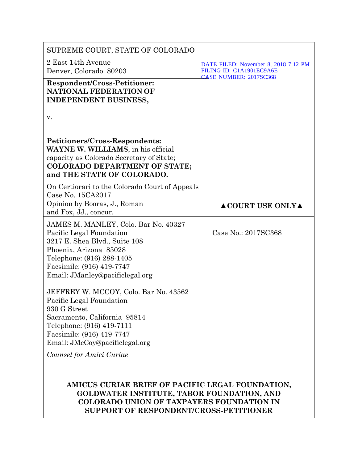| SUPREME COURT, STATE OF COLORADO                                                                                                                                                                                         |                                                                                                   |
|--------------------------------------------------------------------------------------------------------------------------------------------------------------------------------------------------------------------------|---------------------------------------------------------------------------------------------------|
| 2 East 14th Avenue<br>Denver, Colorado 80203                                                                                                                                                                             | DATE FILED: November 8, 2018 7:12 PM<br>FILING ID: C1A1901EC9A6E<br><b>CASE NUMBER: 2017SC368</b> |
| Respondent/Cross-Petitioner:<br><b>NATIONAL FEDERATION OF</b><br><b>INDEPENDENT BUSINESS,</b>                                                                                                                            |                                                                                                   |
| v.                                                                                                                                                                                                                       |                                                                                                   |
| Petitioners/Cross-Respondents:<br>WAYNE W. WILLIAMS, in his official<br>capacity as Colorado Secretary of State;<br><b>COLORADO DEPARTMENT OF STATE;</b><br>and THE STATE OF COLORADO.                                   |                                                                                                   |
| On Certiorari to the Colorado Court of Appeals<br>Case No. 15CA2017<br>Opinion by Booras, J., Roman<br>and Fox, JJ., concur.                                                                                             | <b>ACOURT USE ONLYA</b>                                                                           |
| JAMES M. MANLEY, Colo. Bar No. 40327<br>Pacific Legal Foundation<br>3217 E. Shea Blvd., Suite 108<br>Phoenix, Arizona 85028<br>Telephone: (916) 288-1405<br>Facsimile: (916) 419-7747<br>Email: JManley@pacificlegal.org | Case No.: 2017SC368                                                                               |
| JEFFREY W. MCCOY, Colo. Bar No. 43562<br>Pacific Legal Foundation<br>930 G Street<br>Sacramento, California 95814<br>Telephone: (916) 419-7111<br>Facsimile: (916) 419-7747                                              |                                                                                                   |
| Email: JMcCoy@pacificlegal.org<br>Counsel for Amici Curiae                                                                                                                                                               |                                                                                                   |
| AMICUS CURIAE BRIEF OF PACIFIC LEGAL FOUNDATION,<br><b>GOLDWATER INSTITUTE, TABOR FOUNDATION, AND</b><br><b>COLORADO UNION OF TAXPAYERS FOUNDATION IN</b><br>SUPPORT OF RESPONDENT/CROSS-PETITIONER                      |                                                                                                   |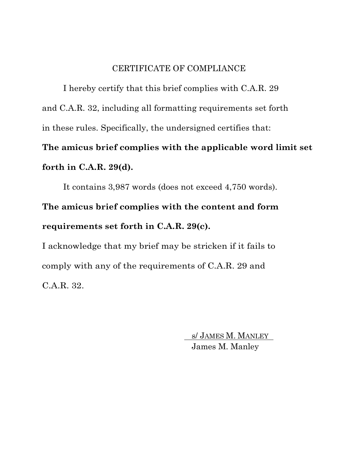### CERTIFICATE OF COMPLIANCE

I hereby certify that this brief complies with C.A.R. 29 and C.A.R. 32, including all formatting requirements set forth in these rules. Specifically, the undersigned certifies that: **The amicus brief complies with the applicable word limit set** 

# **forth in C.A.R. 29(d).**

It contains 3,987 words (does not exceed 4,750 words).

**The amicus brief complies with the content and form requirements set forth in C.A.R. 29(c).**

I acknowledge that my brief may be stricken if it fails to comply with any of the requirements of C.A.R. 29 and C.A.R. 32.

> s/ JAMES M. MANLEY James M. Manley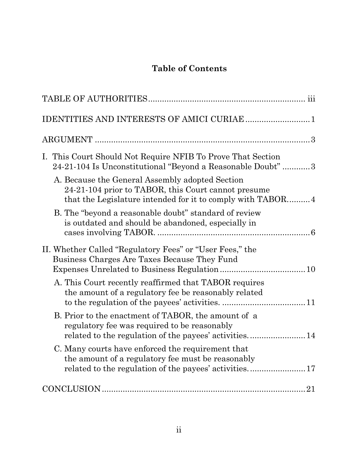# **Table of Contents**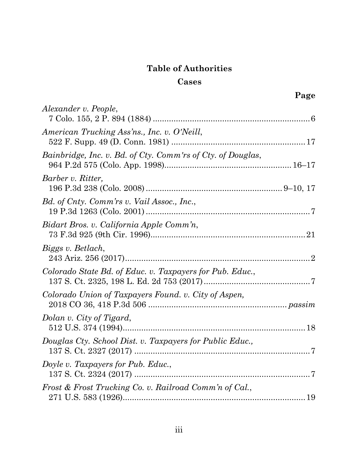# **Table of Authorities**

## **Cases**

|                                                             | Page           |
|-------------------------------------------------------------|----------------|
| Alexander v. People,                                        |                |
| American Trucking Ass'ns., Inc. v. O'Neill,                 |                |
| Bainbridge, Inc. v. Bd. of Cty. Comm'rs of Cty. of Douglas, |                |
| Barber v. Ritter,                                           |                |
| Bd. of Cnty. Comm'rs v. Vail Assoc., Inc.,                  |                |
| Bidart Bros. v. California Apple Comm'n,                    |                |
| Biggs v. Betlach,                                           |                |
| Colorado State Bd. of Educ. v. Taxpayers for Pub. Educ.,    |                |
| Colorado Union of Taxpayers Found. v. City of Aspen,        |                |
| Dolan v. City of Tigard,                                    |                |
| Douglas Cty. School Dist. v. Taxpayers for Public Educ.,    | $\overline{7}$ |
| Doyle v. Taxpayers for Pub. Educ.,                          |                |
| Frost & Frost Trucking Co. v. Railroad Comm'n of Cal.,      |                |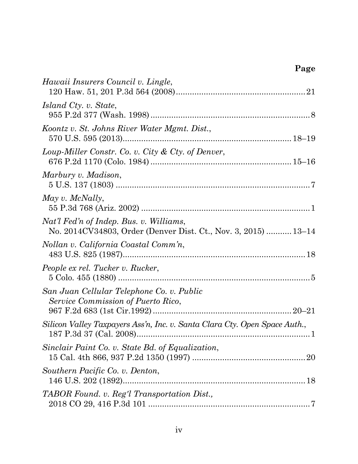# **Page**

| Hawaii Insurers Council v. Lingle,                                                                        |  |
|-----------------------------------------------------------------------------------------------------------|--|
| <i>Island Cty. v. State,</i>                                                                              |  |
| Koontz v. St. Johns River Water Mgmt. Dist.,                                                              |  |
| Loup-Miller Constr. Co. v. City & Cty. of Denver,                                                         |  |
| Marbury v. Madison,                                                                                       |  |
| May v. McNally,                                                                                           |  |
| Nat'l Fed'n of Indep. Bus. v. Williams,<br>No. 2014CV34803, Order (Denver Dist. Ct., Nov. 3, 2015)  13–14 |  |
| Nollan v. California Coastal Comm'n,                                                                      |  |
| People ex rel. Tucker v. Rucker,                                                                          |  |
| San Juan Cellular Telephone Co. v. Public<br>Service Commission of Puerto Rico,                           |  |
| Silicon Valley Taxpayers Ass'n, Inc. v. Santa Clara Cty. Open Space Auth.,                                |  |
| Sinclair Paint Co. v. State Bd. of Equalization,                                                          |  |
| Southern Pacific Co. v. Denton,                                                                           |  |
| TABOR Found. v. Reg'l Transportation Dist.,                                                               |  |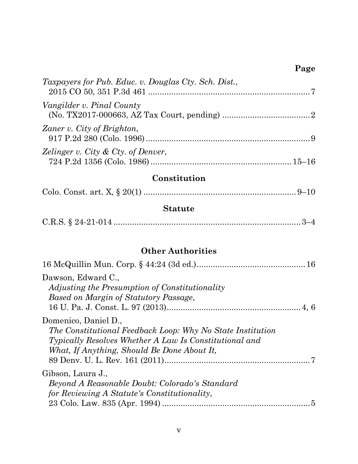# **Page**

| Taxpayers for Pub. Educ. v. Douglas Cty. Sch. Dist., |  |
|------------------------------------------------------|--|
| Vangilder v. Pinal County                            |  |
| Zaner v. City of Brighton,                           |  |
| Zelinger v. City & Cty. of Denver,                   |  |

# **Constitution**

# **Statute**

|--|

# **Other Authorities**

| Dawson, Edward C.,<br>Adjusting the Presumption of Constitutionality<br>Based on Margin of Statutory Passage,                                                                                      |  |
|----------------------------------------------------------------------------------------------------------------------------------------------------------------------------------------------------|--|
| Domenico, Daniel D.,<br>The Constitutional Feedback Loop: Why No State Institution<br><i>Typically Resolves Whether A Law Is Constitutional and</i><br>What, If Anything, Should Be Done About It, |  |
| Gibson, Laura J.,<br>Beyond A Reasonable Doubt: Colorado's Standard<br>for Reviewing A Statute's Constitutionality,                                                                                |  |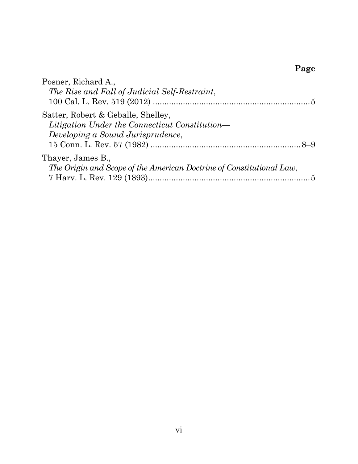# **Page**

| Posner, Richard A.,                                                  |
|----------------------------------------------------------------------|
| The Rise and Fall of Judicial Self-Restraint,                        |
|                                                                      |
| Satter, Robert & Geballe, Shelley,                                   |
| Litigation Under the Connecticut Constitution—                       |
| Developing a Sound Jurisprudence,                                    |
|                                                                      |
| Thayer, James B.,                                                    |
| The Origin and Scope of the American Doctrine of Constitutional Law, |
|                                                                      |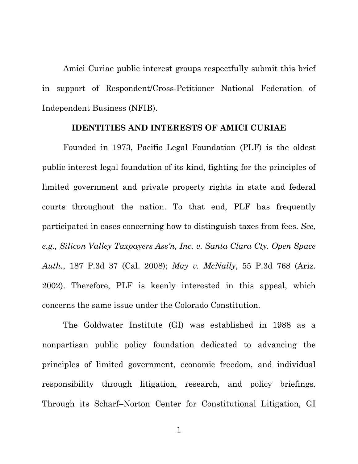Amici Curiae public interest groups respectfully submit this brief in support of Respondent/Cross-Petitioner National Federation of Independent Business (NFIB).

#### **IDENTITIES AND INTERESTS OF AMICI CURIAE**

Founded in 1973, Pacific Legal Foundation (PLF) is the oldest public interest legal foundation of its kind, fighting for the principles of limited government and private property rights in state and federal courts throughout the nation. To that end, PLF has frequently participated in cases concerning how to distinguish taxes from fees. *See, e.g., Silicon Valley Taxpayers Ass'n, Inc. v. Santa Clara Cty. Open Space Auth.*, 187 P.3d 37 (Cal. 2008); *May v. McNally*, 55 P.3d 768 (Ariz. 2002). Therefore, PLF is keenly interested in this appeal, which concerns the same issue under the Colorado Constitution.

The Goldwater Institute (GI) was established in 1988 as a nonpartisan public policy foundation dedicated to advancing the principles of limited government, economic freedom, and individual responsibility through litigation, research, and policy briefings. Through its Scharf–Norton Center for Constitutional Litigation, GI

1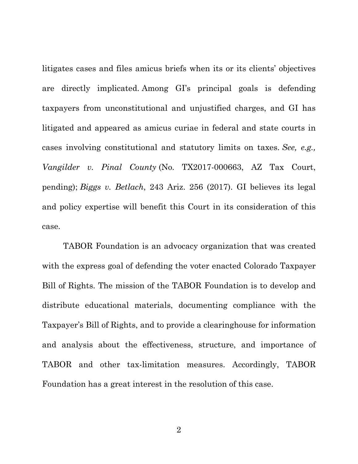litigates cases and files amicus briefs when its or its clients' objectives are directly implicated. Among GI's principal goals is defending taxpayers from unconstitutional and unjustified charges, and GI has litigated and appeared as amicus curiae in federal and state courts in cases involving constitutional and statutory limits on taxes. *See, e.g., Vangilder v. Pinal County* (No. TX2017-000663, AZ Tax Court, pending); *Biggs v. Betlach*, 243 Ariz. 256 (2017). GI believes its legal and policy expertise will benefit this Court in its consideration of this case.

TABOR Foundation is an advocacy organization that was created with the express goal of defending the voter enacted Colorado Taxpayer Bill of Rights. The mission of the TABOR Foundation is to develop and distribute educational materials, documenting compliance with the Taxpayer's Bill of Rights, and to provide a clearinghouse for information and analysis about the effectiveness, structure, and importance of TABOR and other tax-limitation measures. Accordingly, TABOR Foundation has a great interest in the resolution of this case.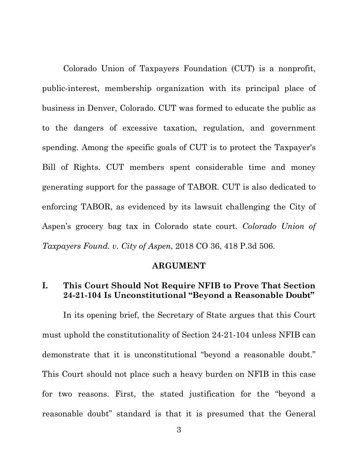Colorado Union of Taxpayers Foundation (CUT) is a nonprofit, public-interest, membership organization with its principal place of business in Denver, Colorado. CUT was formed to educate the public as to the dangers of excessive taxation, regulation, and government spending. Among the specific goals of CUT is to protect the Taxpayer's Bill of Rights. CUT members spent considerable time and money generating support for the passage of TABOR. CUT is also dedicated to enforcing TABOR, as evidenced by its lawsuit challenging the City of Aspen's grocery bag tax in Colorado state court. *Colorado Union of Taxpayers Found. v. City of Aspen*, 2018 CO 36, 418 P.3d 506.

#### **ARGUMENT**

## **I. This Court Should Not Require NFIB to Prove That Section 24-21-104 Is Unconstitutional "Beyond a Reasonable Doubt"**

In its opening brief, the Secretary of State argues that this Court must uphold the constitutionality of Section 24-21-104 unless NFIB can demonstrate that it is unconstitutional "beyond a reasonable doubt." This Court should not place such a heavy burden on NFIB in this case for two reasons. First, the stated justification for the "beyond a reasonable doubt" standard is that it is presumed that the General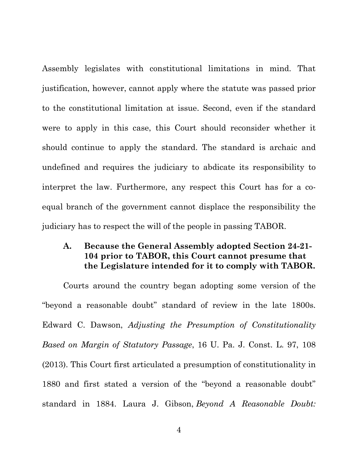Assembly legislates with constitutional limitations in mind. That justification, however, cannot apply where the statute was passed prior to the constitutional limitation at issue. Second, even if the standard were to apply in this case, this Court should reconsider whether it should continue to apply the standard. The standard is archaic and undefined and requires the judiciary to abdicate its responsibility to interpret the law. Furthermore, any respect this Court has for a coequal branch of the government cannot displace the responsibility the judiciary has to respect the will of the people in passing TABOR.

## **A. Because the General Assembly adopted Section 24-21- 104 prior to TABOR, this Court cannot presume that the Legislature intended for it to comply with TABOR.**

Courts around the country began adopting some version of the "beyond a reasonable doubt" standard of review in the late 1800s. Edward C. Dawson, *Adjusting the Presumption of Constitutionality Based on Margin of Statutory Passage*, 16 U. Pa. J. Const. L. 97, 108 (2013). This Court first articulated a presumption of constitutionality in 1880 and first stated a version of the "beyond a reasonable doubt" standard in 1884. Laura J. Gibson, *Beyond A Reasonable Doubt:*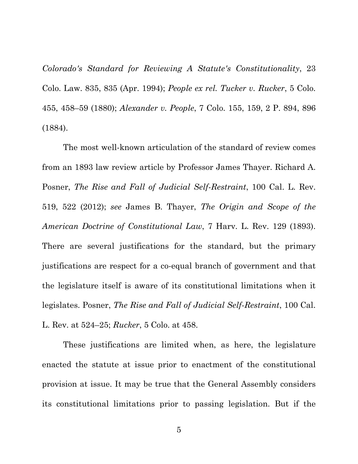*Colorado's Standard for Reviewing A Statute's Constitutionality*, 23 Colo. Law. 835, 835 (Apr. 1994); *People ex rel. Tucker v. Rucker*, 5 Colo. 455, 458–59 (1880); *Alexander v. People*, 7 Colo. 155, 159, 2 P. 894, 896 (1884).

The most well-known articulation of the standard of review comes from an 1893 law review article by Professor James Thayer. Richard A. Posner, *The Rise and Fall of Judicial Self-Restraint*, 100 Cal. L. Rev. 519, 522 (2012); *see* James B. Thayer, *The Origin and Scope of the American Doctrine of Constitutional Law*, 7 Harv. L. Rev. 129 (1893). There are several justifications for the standard, but the primary justifications are respect for a co-equal branch of government and that the legislature itself is aware of its constitutional limitations when it legislates. Posner, *The Rise and Fall of Judicial Self-Restraint*, 100 Cal. L. Rev. at 524–25; *Rucker*, 5 Colo. at 458.

These justifications are limited when, as here, the legislature enacted the statute at issue prior to enactment of the constitutional provision at issue. It may be true that the General Assembly considers its constitutional limitations prior to passing legislation. But if the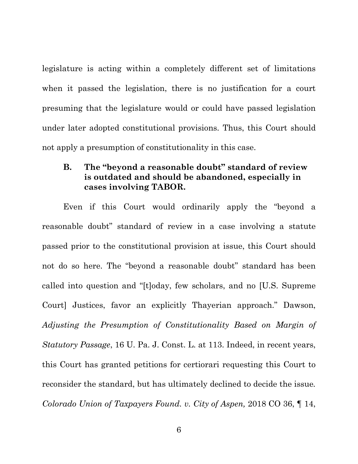legislature is acting within a completely different set of limitations when it passed the legislation, there is no justification for a court presuming that the legislature would or could have passed legislation under later adopted constitutional provisions. Thus, this Court should not apply a presumption of constitutionality in this case.

# **B. The "beyond a reasonable doubt" standard of review is outdated and should be abandoned, especially in cases involving TABOR.**

Even if this Court would ordinarily apply the "beyond a reasonable doubt" standard of review in a case involving a statute passed prior to the constitutional provision at issue, this Court should not do so here. The "beyond a reasonable doubt" standard has been called into question and "[t]oday, few scholars, and no [U.S. Supreme Court] Justices, favor an explicitly Thayerian approach." Dawson, *Adjusting the Presumption of Constitutionality Based on Margin of Statutory Passage*, 16 U. Pa. J. Const. L. at 113. Indeed, in recent years, this Court has granted petitions for certiorari requesting this Court to reconsider the standard, but has ultimately declined to decide the issue*. Colorado Union of Taxpayers Found. v. City of Aspen,* 2018 CO 36, ¶ 14,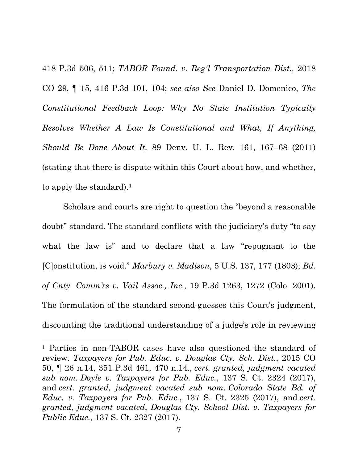418 P.3d 506, 511; *TABOR Found. v. Reg'l Transportation Dist.,* 2018 CO 29, ¶ 15, 416 P.3d 101, 104; *see also See* Daniel D. Domenico, *The Constitutional Feedback Loop: Why No State Institution Typically Resolves Whether A Law Is Constitutional and What, If Anything, Should Be Done About It,* 89 Denv. U. L. Rev. 161, 167–68 (2011) (stating that there is dispute within this Court about how, and whether, to apply the standard).<sup>1</sup>

Scholars and courts are right to question the "beyond a reasonable doubt" standard. The standard conflicts with the judiciary's duty "to say what the law is" and to declare that a law "repugnant to the [C]onstitution, is void." *Marbury v. Madison*, 5 U.S. 137, 177 (1803); *Bd. of Cnty. Comm'rs v. Vail Assoc., Inc*., 19 P.3d 1263, 1272 (Colo. 2001). The formulation of the standard second-guesses this Court's judgment, discounting the traditional understanding of a judge's role in reviewing

 $\overline{\phantom{a}}$ 

<sup>1</sup> Parties in non-TABOR cases have also questioned the standard of review. *Taxpayers for Pub. Educ. v. Douglas Cty. Sch. Dist.*, 2015 CO 50, ¶ 26 n.14, 351 P.3d 461, 470 n.14., *cert. granted, judgment vacated sub nom. Doyle v. Taxpayers for Pub. Educ.*, 137 S. Ct. 2324 (2017), and *cert. granted, judgment vacated sub nom. Colorado State Bd. of Educ. v. Taxpayers for Pub. Educ.*, 137 S. Ct. 2325 (2017), and *cert. granted, judgment vacated*, *Douglas Cty. School Dist. v. Taxpayers for Public Educ.,* 137 S. Ct. 2327 (2017).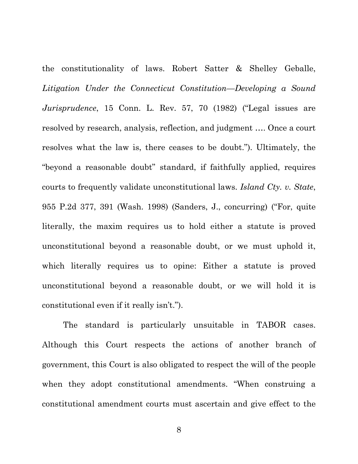the constitutionality of laws. Robert Satter & Shelley Geballe, *Litigation Under the Connecticut Constitution—Developing a Sound Jurisprudence*, 15 Conn. L. Rev. 57, 70 (1982) ("Legal issues are resolved by research, analysis, reflection, and judgment …. Once a court resolves what the law is, there ceases to be doubt."). Ultimately, the "beyond a reasonable doubt" standard, if faithfully applied, requires courts to frequently validate unconstitutional laws. *Island Cty. v. State*, 955 P.2d 377, 391 (Wash. 1998) (Sanders, J., concurring) ("For, quite literally, the maxim requires us to hold either a statute is proved unconstitutional beyond a reasonable doubt, or we must uphold it, which literally requires us to opine: Either a statute is proved unconstitutional beyond a reasonable doubt, or we will hold it is constitutional even if it really isn't.").

The standard is particularly unsuitable in TABOR cases. Although this Court respects the actions of another branch of government, this Court is also obligated to respect the will of the people when they adopt constitutional amendments. "When construing a constitutional amendment courts must ascertain and give effect to the

8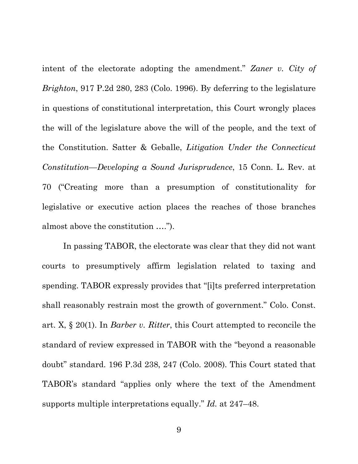intent of the electorate adopting the amendment." *Zaner v. City of Brighton*, 917 P.2d 280, 283 (Colo. 1996). By deferring to the legislature in questions of constitutional interpretation, this Court wrongly places the will of the legislature above the will of the people, and the text of the Constitution. Satter & Geballe, *Litigation Under the Connecticut Constitution—Developing a Sound Jurisprudence*, 15 Conn. L. Rev. at 70 ("Creating more than a presumption of constitutionality for legislative or executive action places the reaches of those branches almost above the constitution ….").

In passing TABOR, the electorate was clear that they did not want courts to presumptively affirm legislation related to taxing and spending. TABOR expressly provides that "[i]ts preferred interpretation shall reasonably restrain most the growth of government." Colo. Const. art. X, § 20(1). In *Barber v. Ritter*, this Court attempted to reconcile the standard of review expressed in TABOR with the "beyond a reasonable doubt" standard. 196 P.3d 238, 247 (Colo. 2008). This Court stated that TABOR's standard "applies only where the text of the Amendment supports multiple interpretations equally." *Id.* at 247–48.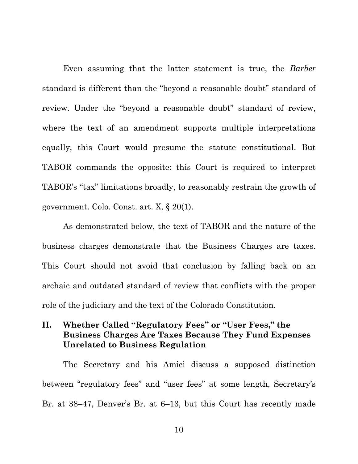Even assuming that the latter statement is true, the *Barber*  standard is different than the "beyond a reasonable doubt" standard of review. Under the "beyond a reasonable doubt" standard of review, where the text of an amendment supports multiple interpretations equally, this Court would presume the statute constitutional. But TABOR commands the opposite: this Court is required to interpret TABOR's "tax" limitations broadly, to reasonably restrain the growth of government. Colo. Const. art. X, § 20(1).

As demonstrated below, the text of TABOR and the nature of the business charges demonstrate that the Business Charges are taxes. This Court should not avoid that conclusion by falling back on an archaic and outdated standard of review that conflicts with the proper role of the judiciary and the text of the Colorado Constitution.

## **II. Whether Called "Regulatory Fees" or "User Fees," the Business Charges Are Taxes Because They Fund Expenses Unrelated to Business Regulation**

The Secretary and his Amici discuss a supposed distinction between "regulatory fees" and "user fees" at some length, Secretary's Br. at 38–47, Denver's Br. at 6–13, but this Court has recently made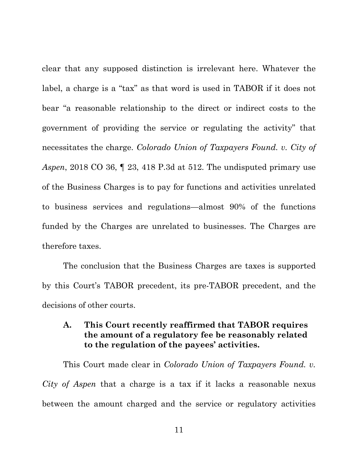clear that any supposed distinction is irrelevant here. Whatever the label, a charge is a "tax" as that word is used in TABOR if it does not bear "a reasonable relationship to the direct or indirect costs to the government of providing the service or regulating the activity" that necessitates the charge. *Colorado Union of Taxpayers Found. v. City of Aspen*, 2018 CO 36, ¶ 23, 418 P.3d at 512. The undisputed primary use of the Business Charges is to pay for functions and activities unrelated to business services and regulations—almost 90% of the functions funded by the Charges are unrelated to businesses. The Charges are therefore taxes.

The conclusion that the Business Charges are taxes is supported by this Court's TABOR precedent, its pre-TABOR precedent, and the decisions of other courts.

## **A. This Court recently reaffirmed that TABOR requires the amount of a regulatory fee be reasonably related to the regulation of the payees' activities.**

This Court made clear in *Colorado Union of Taxpayers Found. v. City of Aspen* that a charge is a tax if it lacks a reasonable nexus between the amount charged and the service or regulatory activities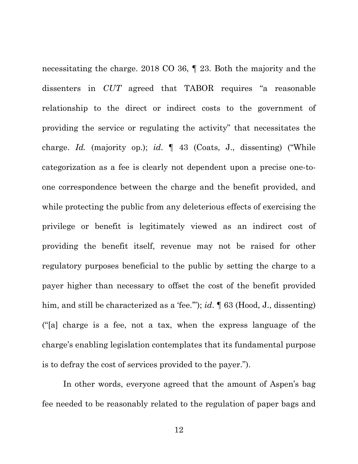necessitating the charge. 2018 CO 36, ¶ 23. Both the majority and the dissenters in *CUT* agreed that TABOR requires "a reasonable relationship to the direct or indirect costs to the government of providing the service or regulating the activity" that necessitates the charge. *Id.* (majority op.); *id*. ¶ 43 (Coats, J., dissenting) ("While categorization as a fee is clearly not dependent upon a precise one-toone correspondence between the charge and the benefit provided, and while protecting the public from any deleterious effects of exercising the privilege or benefit is legitimately viewed as an indirect cost of providing the benefit itself, revenue may not be raised for other regulatory purposes beneficial to the public by setting the charge to a payer higher than necessary to offset the cost of the benefit provided him, and still be characterized as a 'fee.'"); *id*. ¶ 63 (Hood, J., dissenting) ("[a] charge is a fee, not a tax, when the express language of the charge's enabling legislation contemplates that its fundamental purpose is to defray the cost of services provided to the payer.").

In other words, everyone agreed that the amount of Aspen's bag fee needed to be reasonably related to the regulation of paper bags and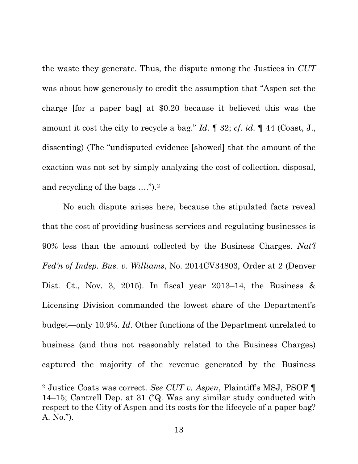the waste they generate. Thus, the dispute among the Justices in *CUT* was about how generously to credit the assumption that "Aspen set the charge [for a paper bag] at \$0.20 because it believed this was the amount it cost the city to recycle a bag." *Id*. ¶ 32; *cf*. *id*. ¶ 44 (Coast, J., dissenting) (The "undisputed evidence [showed] that the amount of the exaction was not set by simply analyzing the cost of collection, disposal, and recycling of the bags ….").2

No such dispute arises here, because the stipulated facts reveal that the cost of providing business services and regulating businesses is 90% less than the amount collected by the Business Charges. *Nat'l Fed'n of Indep. Bus. v. Williams*, No. 2014CV34803, Order at 2 (Denver Dist. Ct., Nov. 3, 2015). In fiscal year 2013–14, the Business  $\&$ Licensing Division commanded the lowest share of the Department's budget—only 10.9%. *Id*. Other functions of the Department unrelated to business (and thus not reasonably related to the Business Charges) captured the majority of the revenue generated by the Business

l

<sup>2</sup> Justice Coats was correct. *See CUT v. Aspen*, Plaintiff's MSJ, PSOF ¶ 14–15; Cantrell Dep. at 31 ("Q. Was any similar study conducted with respect to the City of Aspen and its costs for the lifecycle of a paper bag? A. No.").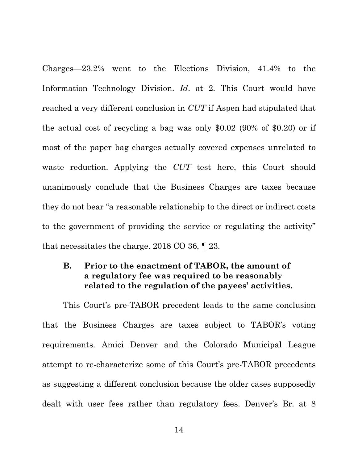Charges—23.2% went to the Elections Division, 41.4% to the Information Technology Division. *Id*. at 2. This Court would have reached a very different conclusion in *CUT* if Aspen had stipulated that the actual cost of recycling a bag was only \$0.02 (90% of \$0.20) or if most of the paper bag charges actually covered expenses unrelated to waste reduction. Applying the *CUT* test here, this Court should unanimously conclude that the Business Charges are taxes because they do not bear "a reasonable relationship to the direct or indirect costs to the government of providing the service or regulating the activity" that necessitates the charge. 2018 CO 36, ¶ 23.

# **B. Prior to the enactment of TABOR, the amount of a regulatory fee was required to be reasonably related to the regulation of the payees' activities.**

This Court's pre-TABOR precedent leads to the same conclusion that the Business Charges are taxes subject to TABOR's voting requirements. Amici Denver and the Colorado Municipal League attempt to re-characterize some of this Court's pre-TABOR precedents as suggesting a different conclusion because the older cases supposedly dealt with user fees rather than regulatory fees. Denver's Br. at 8

14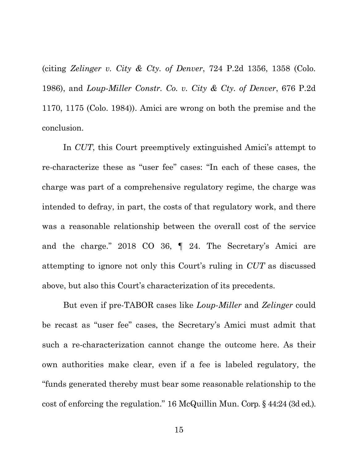(citing *Zelinger v. City & Cty. of Denver*, 724 P.2d 1356, 1358 (Colo. 1986), and *Loup-Miller Constr. Co. v. City & Cty. of Denver*, 676 P.2d 1170, 1175 (Colo. 1984)). Amici are wrong on both the premise and the conclusion.

In *CUT*, this Court preemptively extinguished Amici's attempt to re-characterize these as "user fee" cases: "In each of these cases, the charge was part of a comprehensive regulatory regime, the charge was intended to defray, in part, the costs of that regulatory work, and there was a reasonable relationship between the overall cost of the service and the charge." 2018 CO 36, ¶ 24. The Secretary's Amici are attempting to ignore not only this Court's ruling in *CUT* as discussed above, but also this Court's characterization of its precedents.

But even if pre-TABOR cases like *Loup-Miller* and *Zelinger* could be recast as "user fee" cases, the Secretary's Amici must admit that such a re-characterization cannot change the outcome here. As their own authorities make clear, even if a fee is labeled regulatory, the "funds generated thereby must bear some reasonable relationship to the cost of enforcing the regulation." 16 McQuillin Mun. Corp. § 44:24 (3d ed.).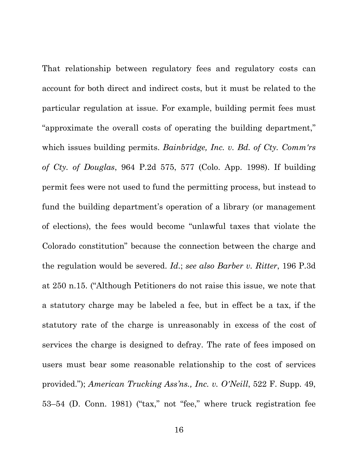That relationship between regulatory fees and regulatory costs can account for both direct and indirect costs, but it must be related to the particular regulation at issue. For example, building permit fees must "approximate the overall costs of operating the building department," which issues building permits. *Bainbridge, Inc. v. Bd. of Cty. Comm'rs of Cty. of Douglas*, 964 P.2d 575, 577 (Colo. App. 1998). If building permit fees were not used to fund the permitting process, but instead to fund the building department's operation of a library (or management of elections), the fees would become "unlawful taxes that violate the Colorado constitution" because the connection between the charge and the regulation would be severed. *Id*.; *see also Barber v. Ritter*, 196 P.3d at 250 n.15. ("Although Petitioners do not raise this issue, we note that a statutory charge may be labeled a fee, but in effect be a tax, if the statutory rate of the charge is unreasonably in excess of the cost of services the charge is designed to defray. The rate of fees imposed on users must bear some reasonable relationship to the cost of services provided."); *American Trucking Ass'ns., Inc. v. O'Neill*, 522 F. Supp. 49, 53–54 (D. Conn. 1981) ("tax," not "fee," where truck registration fee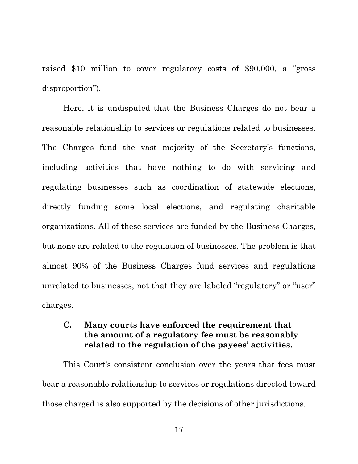raised \$10 million to cover regulatory costs of \$90,000, a "gross disproportion").

Here, it is undisputed that the Business Charges do not bear a reasonable relationship to services or regulations related to businesses. The Charges fund the vast majority of the Secretary's functions, including activities that have nothing to do with servicing and regulating businesses such as coordination of statewide elections, directly funding some local elections, and regulating charitable organizations. All of these services are funded by the Business Charges, but none are related to the regulation of businesses. The problem is that almost 90% of the Business Charges fund services and regulations unrelated to businesses, not that they are labeled "regulatory" or "user" charges.

# **C. Many courts have enforced the requirement that the amount of a regulatory fee must be reasonably related to the regulation of the payees' activities.**

This Court's consistent conclusion over the years that fees must bear a reasonable relationship to services or regulations directed toward those charged is also supported by the decisions of other jurisdictions.

17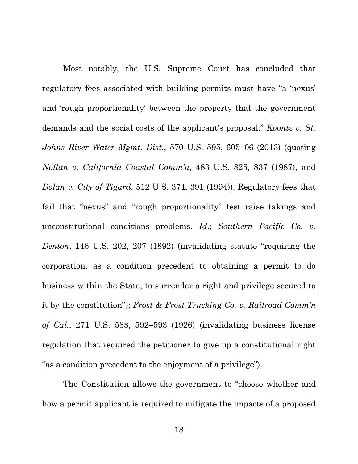Most notably, the U.S. Supreme Court has concluded that regulatory fees associated with building permits must have "a 'nexus' and 'rough proportionality' between the property that the government demands and the social costs of the applicant's proposal." *Koontz v. St. Johns River Water Mgmt. Dist.*, 570 U.S. 595, 605–06 (2013) (quoting *Nollan v. California Coastal Comm'n*, 483 U.S. 825, 837 (1987), and *Dolan v. City of Tigard*, 512 U.S. 374, 391 (1994)). Regulatory fees that fail that "nexus" and "rough proportionality" test raise takings and unconstitutional conditions problems. *Id*.; *Southern Pacific Co. v. Denton*, 146 U.S. 202, 207 (1892) (invalidating statute "requiring the corporation, as a condition precedent to obtaining a permit to do business within the State, to surrender a right and privilege secured to it by the constitution"); *Frost & Frost Trucking Co. v. Railroad Comm'n of Cal.*, 271 U.S. 583, 592–593 (1926) (invalidating business license regulation that required the petitioner to give up a constitutional right "as a condition precedent to the enjoyment of a privilege").

The Constitution allows the government to "choose whether and how a permit applicant is required to mitigate the impacts of a proposed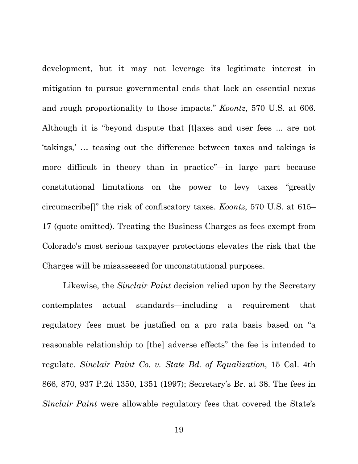development, but it may not leverage its legitimate interest in mitigation to pursue governmental ends that lack an essential nexus and rough proportionality to those impacts." *Koontz*, 570 U.S. at 606. Although it is "beyond dispute that [t]axes and user fees ... are not 'takings,' … teasing out the difference between taxes and takings is more difficult in theory than in practice"—in large part because constitutional limitations on the power to levy taxes "greatly circumscribe[]" the risk of confiscatory taxes. *Koontz*, 570 U.S. at 615– 17 (quote omitted). Treating the Business Charges as fees exempt from Colorado's most serious taxpayer protections elevates the risk that the Charges will be misassessed for unconstitutional purposes.

Likewise, the *Sinclair Paint* decision relied upon by the Secretary contemplates actual standards—including a requirement that regulatory fees must be justified on a pro rata basis based on "a reasonable relationship to [the] adverse effects" the fee is intended to regulate. *Sinclair Paint Co. v. State Bd. of Equalization*, 15 Cal. 4th 866, 870, 937 P.2d 1350, 1351 (1997); Secretary's Br. at 38. The fees in *Sinclair Paint* were allowable regulatory fees that covered the State's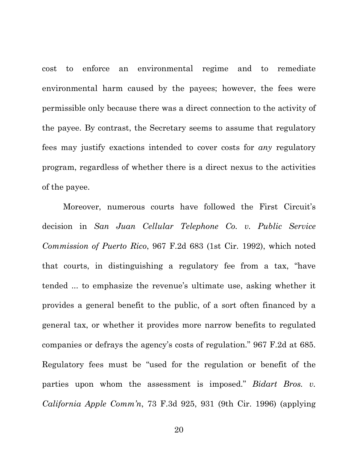cost to enforce an environmental regime and to remediate environmental harm caused by the payees; however, the fees were permissible only because there was a direct connection to the activity of the payee. By contrast, the Secretary seems to assume that regulatory fees may justify exactions intended to cover costs for *any* regulatory program, regardless of whether there is a direct nexus to the activities of the payee.

Moreover, numerous courts have followed the First Circuit's decision in *San Juan Cellular Telephone Co. v. Public Service Commission of Puerto Rico*, 967 F.2d 683 (1st Cir. 1992), which noted that courts, in distinguishing a regulatory fee from a tax, "have tended ... to emphasize the revenue's ultimate use, asking whether it provides a general benefit to the public, of a sort often financed by a general tax, or whether it provides more narrow benefits to regulated companies or defrays the agency's costs of regulation." 967 F.2d at 685. Regulatory fees must be "used for the regulation or benefit of the parties upon whom the assessment is imposed." *Bidart Bros. v. California Apple Comm'n*, 73 F.3d 925, 931 (9th Cir. 1996) (applying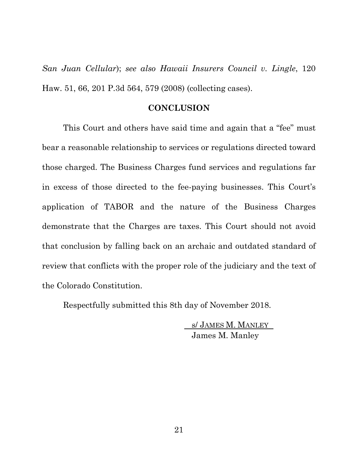*San Juan Cellular*); *see also Hawaii Insurers Council v. Lingle*, 120 Haw. 51, 66, 201 P.3d 564, 579 (2008) (collecting cases).

#### **CONCLUSION**

This Court and others have said time and again that a "fee" must bear a reasonable relationship to services or regulations directed toward those charged. The Business Charges fund services and regulations far in excess of those directed to the fee-paying businesses. This Court's application of TABOR and the nature of the Business Charges demonstrate that the Charges are taxes. This Court should not avoid that conclusion by falling back on an archaic and outdated standard of review that conflicts with the proper role of the judiciary and the text of the Colorado Constitution.

Respectfully submitted this 8th day of November 2018.

s/ JAMES M. MANLEY James M. Manley